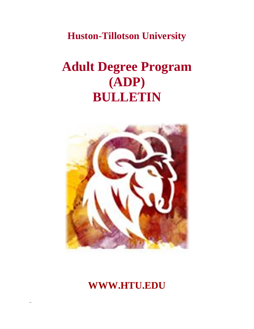**Huston-Tillotson University**

# **Adult Degree Program (ADP) BULLETIN**



## **WWW.HTU.EDU**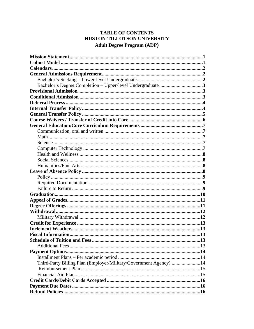#### **TABLE OF CONTENTS** HUSTON-TILLOTSON UNIVERSITY **Adult Degree Program (ADP)**

| Third-Party Billing Plan (Employer/Military/Government Agency) 14 |  |
|-------------------------------------------------------------------|--|
|                                                                   |  |
|                                                                   |  |
|                                                                   |  |
|                                                                   |  |
|                                                                   |  |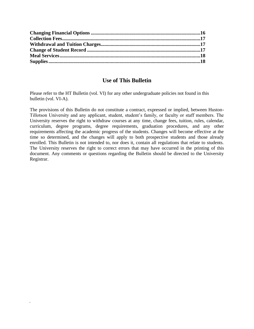#### **Use of This Bulletin**

Please refer to the HT Bulletin (vol. VI) for any other undergraduate policies not found in this bulletin (vol. VI-A).

The provisions of this Bulletin do not constitute a contract, expressed or implied, between Huston-Tillotson University and any applicant, student, student's family, or faculty or staff members. The University reserves the right to withdraw courses at any time, change fees, tuition, rules, calendar, curriculum, degree programs, degree requirements, graduation procedures, and any other requirements affecting the academic progress of the students. Changes will become effective at the time so determined, and the changes will apply to both prospective students and those already enrolled. This Bulletin is not intended to, nor does it, contain all regulations that relate to students. The University reserves the right to correct errors that may have occurred in the printing of this document. Any comments or questions regarding the Bulletin should be directed to the University Registrar.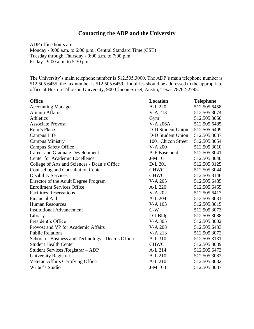#### **Contacting the ADP and the University**

ADP office hours are: Monday - 9:00 a.m. to 6:00 p.m., Central Standard Time (CST) Tuesday through Thursday - 9:00 a.m. to 7:00 p.m. Friday - 9:00 a.m. to 5:30 p.m.

The University's main telephone number is 512.505.3000. The ADP's main telephone number is 512.505.6455; the fax number is 512.505.6459. Inquiries should be addressed to the appropriate office at Huston-Tillotson University, 900 Chicon Street, Austin, Texas 78702-2795.

| <b>Office</b>                                     | <b>Location</b>    | <b>Telephone</b> |
|---------------------------------------------------|--------------------|------------------|
| <b>Accounting Manager</b>                         | A-L 220            | 512.505.6458     |
| Alumni Affairs                                    | V-A 213            | 512.505.3074     |
| Athletics                                         | Gym                | 512.505.3050     |
| <b>Associate Provost</b>                          | <b>V-A 206A</b>    | 512.505.6485     |
| Ram's Place                                       | D-D Student Union  | 512.505.6409     |
| Campus Life                                       | D-D Student Union  | 512.505.3037     |
| <b>Campus Ministry</b>                            | 1001 Chicon Street | 512.505.3054     |
| <b>Campus Safety Office</b>                       | <b>V-A 200</b>     | 512.505.3010     |
| <b>Career and Graduate Development</b>            | A-F Basement       | 512.505.3041     |
| <b>Center for Academic Excellence</b>             | J-M 101            | 512.505.3040     |
| College of Arts and Sciences - Dean's Office      | D-L 201            | 512.505.3125     |
| <b>Counseling and Consultation Center</b>         | <b>CHWC</b>        | 512.505.3044     |
| <b>Disability Services</b>                        | <b>CHWC</b>        | 512.505.3146     |
| Director of the Adult Degree Program              | V-A 205            | 512.505.6485     |
| <b>Enrollment Services Office</b>                 | A-L 220            | 512.505.6455     |
| <b>Facilities Reservations</b>                    | V-A 202            | 512.505.6417     |
| <b>Financial Aid</b>                              | A-L 204            | 512.505.3031     |
| <b>Human Resources</b>                            | V-A 103            | 512.505.3015     |
| <b>Institutional Advancement</b>                  | $C-W$              | 512.505.3073     |
| Library                                           | $D-J$ $Bldg$       | 512.505.3088     |
| President's Office                                | V-A 305            | 512.505.3002     |
| Provost and VP for Academic Affairs               | V-A 208            | 512.505.6433     |
| <b>Public Relations</b>                           | V-A 213            | 512.505.3072     |
| School of Business and Technology - Dean's Office | A-L 310            | 512.505.3131     |
| <b>Student Health Center</b>                      | <b>CHWC</b>        | 512.505.3039     |
| Student Services / Registrar - ADP                | A-L 214            | 512.505.6473     |
| University Registrar                              | A-L 210            | 512.505.3082     |
| Veteran Affairs Certifying Office                 | A-L 210            | 512.505.3082     |
| Writer's Studio                                   | J-M 103            | 512.505.3087     |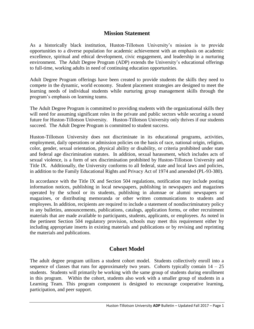#### **Mission Statement**

As a historically black institution, Huston-Tillotson University's mission is to provide opportunities to a diverse population for academic achievement with an emphasis on academic excellence, spiritual and ethical development, civic engagement, and leadership in a nurturing environment. The Adult Degree Program (ADP) extends the University's educational offerings to full-time, working adults in need of continuing education opportunities.

Adult Degree Program offerings have been created to provide students the skills they need to compete in the dynamic, world economy. Student placement strategies are designed to meet the learning needs of individual students while nurturing group management skills through the program's emphasis on learning teams.

The Adult Degree Program is committed to providing students with the organizational skills they will need for assuming significant roles in the private and public sectors while securing a sound future for Huston-Tillotson University. Huston-Tillotson University only thrives if our students succeed. The Adult Degree Program is committed to student success.

Huston-Tillotson University does not discriminate in its educational programs, activities, employment, daily operations or admission policies on the basis of race, national origin, religion, color, gender, sexual orientation, physical ability or disability, or criteria prohibited under state and federal age discrimination statutes. In addition, sexual harassment, which includes acts of sexual violence, is a form of sex discrimination prohibited by Huston-Tillotson University and Title IX. Additionally, the University conforms to all federal, state and local laws and policies, in addition to the Family Educational Rights and Privacy Act of 1974 and amended (PL-93-380).

In accordance with the Title IX and Section 504 regulations, notification may include posting information notices, publishing in local newspapers, publishing in newspapers and magazines operated by the school or its students, publishing in alumnae or alumni newspapers or magazines, or distributing memoranda or other written communications to students and employees. In addition, recipients are required to include a statement of nondiscriminatory policy in any bulletins, announcements, publications, catalogs, application forms, or other recruitment materials that are made available to participants, students, applicants, or employees. As noted in the pertinent Section 504 regulatory provision, schools may meet this requirement either by including appropriate inserts in existing materials and publications or by revising and reprinting the materials and publications.

#### **Cohort Model**

The adult degree program utilizes a student cohort model. Students collectively enroll into a sequence of classes that runs for approximately two years. Cohorts typically contain  $14 - 25$ students. Students will primarily be working with the same group of students during enrollment in this program. Within the cohort, students also work with a smaller group of students in a Learning Team. This program component is designed to encourage cooperative learning, participation, and peer support.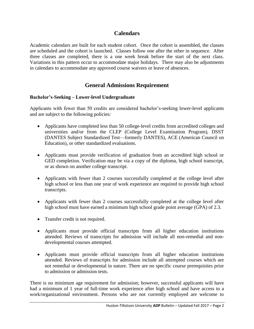#### **Calendars**

Academic calendars are built for each student cohort. Once the cohort is assembled, the classes are scheduled and the cohort is launched. Classes follow one after the other in sequence. After three classes are completed, there is a one week break before the start of the next class. Variations in this pattern occur to accommodate major holidays. There may also be adjustments in calendars to accommodate any approved course waivers or leave of absences.

### **General Admissions Requirement**

#### **Bachelor's-Seeking – Lower-level Undergraduate**

Applicants with fewer than 50 credits are considered bachelor's-seeking lower-level applicants and are subject to the following policies:

- Applicants have completed less than 50 college-level credits from accredited colleges and universities and/or from the CLEP (College Level Examination Program), DSST (DANTES Subject Standardized Test—formerly DANTES), ACE (American Council on Education), or other standardized evaluations.
- Applicants must provide verification of graduation from an accredited high school or GED completion. Verification may be via a copy of the diploma, high school transcript, or as shown on another college transcript.
- Applicants with fewer than 2 courses successfully completed at the college level after high school or less than one year of work experience are required to provide high school transcripts.
- Applicants with fewer than 2 courses successfully completed at the college level after high school must have earned a minimum high school grade point average (GPA) of 2.3.
- Transfer credit is not required.
- Applicants must provide official transcripts from all higher education institutions attended. Reviews of transcripts for admission will include all non-remedial and nondevelopmental courses attempted.
- Applicants must provide official transcripts from all higher education institutions attended. Reviews of transcripts for admission include all attempted courses which are not remedial or developmental in nature. There are no specific course prerequisites prior to admission or admission tests.

There is no minimum age requirement for admission; however, successful applicants will have had a minimum of 1 year of full-time work experience after high school and have access to a work/organizational environment. Persons who are not currently employed are welcome to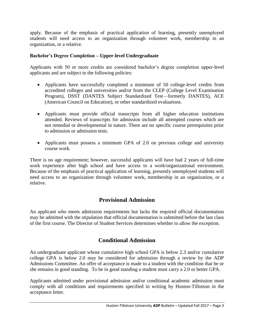apply. Because of the emphasis of practical application of learning, presently unemployed students will need access to an organization through volunteer work, membership in an organization, or a relative.

#### **Bachelor's Degree Completion – Upper-level Undergraduate**

Applicants with 50 or more credits are considered bachelor's degree completion upper-level applicants and are subject to the following policies:

- Applicants have successfully completed a minimum of 50 college-level credits from accredited colleges and universities and/or from the CLEP (College Level Examination Program), DSST (DANTES Subject Standardized Test—formerly DANTES), ACE (American Council on Education), or other standardized evaluations.
- Applicants must provide official transcripts from all higher education institutions attended. Reviews of transcripts for admission include all attempted courses which are not remedial or developmental in nature. There are no specific course prerequisites prior to admission or admission tests.
- Applicants must possess a minimum GPA of 2.0 on previous college and university course work.

There is no age requirement; however, successful applicants will have had 2 years of full-time work experience after high school and have access to a work/organizational environment. Because of the emphasis of practical application of learning, presently unemployed students will need access to an organization through volunteer work, membership in an organization, or a relative.

#### **Provisional Admission**

An applicant who meets admission requirements but lacks the required official documentation may be admitted with the stipulation that official documentation is submitted before the last class of the first course. The Director of Student Services determines whether to allow the exception.

#### **Conditional Admission**

An undergraduate applicant whose cumulative high school GPA is below 2.3 and/or cumulative college GPA is below 2.0 may be considered for admission through a review by the ADP Admissions Committee. An offer of acceptance is made to a student with the condition that he or she remains in good standing. To be in good standing a student must carry a 2.0 or better GPA.

Applicants admitted under provisional admission and/or conditional academic admission must comply with all conditions and requirements specified in writing by Huston-Tillotson in the acceptance letter.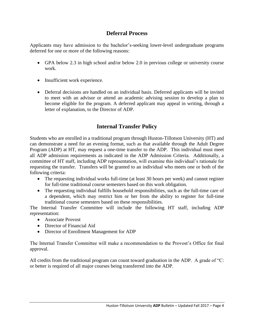#### **Deferral Process**

Applicants may have admission to the bachelor's-seeking lower-level undergraduate programs deferred for one or more of the following reasons:

- GPA below 2.3 in high school and/or below 2.0 in previous college or university course work.
- Insufficient work experience.
- Deferral decisions are handled on an individual basis. Deferred applicants will be invited to meet with an advisor or attend an academic advising session to develop a plan to become eligible for the program. A deferred applicant may appeal in writing, through a letter of explanation, to the Director of ADP.

### **Internal Transfer Policy**

Students who are enrolled in a traditional program through Huston-Tillotson University (HT) and can demonstrate a need for an evening format, such as that available through the Adult Degree Program (ADP) at HT, may request a one-time transfer to the ADP. This individual must meet all ADP admission requirements as indicated in the ADP Admission Criteria. Additionally, a committee of HT staff, including ADP representation, will examine this individual's rationale for requesting the transfer. Transfers will be granted to an individual who meets one or both of the following criteria:

- The requesting individual works full-time (at least 30 hours per week) and cannot register for full-time traditional course semesters based on this work obligation.
- The requesting individual fulfills household responsibilities, such as the full-time care of a dependent, which may restrict him or her from the ability to register for full-time traditional course semesters based on these responsibilities.

The Internal Transfer Committee will include the following HT staff, including ADP representation:

- Associate Provost
- Director of Financial Aid
- Director of Enrollment Management for ADP

The Internal Transfer Committee will make a recommendation to the Provost's Office for final approval.

All credits from the traditional program can count toward graduation in the ADP. A grade of "C: or better is required of all major courses being transferred into the ADP.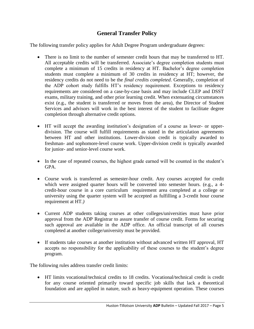### **General Transfer Policy**

The following transfer policy applies for Adult Degree Program undergraduate degrees:

- There is no limit to the number of semester credit hours that may be transferred to HT. All acceptable credits will be transferred. Associate's degree completion students must complete a minimum of 15 credits in residency at HT. Bachelor's degree completion students must complete a minimum of 30 credits in residency at HT; however, the residency credits do not need to be the *final credits completed*. Generally, completion of the ADP cohort study fulfills HT's residency requirement. Exceptions to residency requirements are considered on a case-by-case basis and may include CLEP and DSST exams, military training, and other prior learning credit. When extenuating circumstances exist (e.g., the student is transferred or moves from the area), the Director of Student Services and advisors will work in the best interest of the student to facilitate degree completion through alternative credit options.
- HT will accept the awarding institution's designation of a course as lower- or upperdivision. The course will fulfill requirements as stated in the articulation agreements between HT and other institutions. Lower-division credit is typically awarded to freshman- and sophomore-level course work. Upper-division credit is typically awarded for junior- and senior-level course work.
- In the case of repeated courses, the highest grade earned will be counted in the student's GPA.
- Course work is transferred as semester-hour credit. Any courses accepted for credit which were assigned quarter hours will be converted into semester hours. (e.g., a 4credit-hour course in a core curriculum requirement area completed at a college or university using the quarter system will be accepted as fulfilling a 3-credit hour course requirement at HT*.)*
- Current ADP students taking courses at other colleges/universities must have prior approval from the ADP Registrar to assure transfer of course credit. Forms for securing such approval are available in the ADP office. An official transcript of all courses completed at another college/university must be provided.
- If students take courses at another institution without advanced written HT approval, HT accepts no responsibility for the applicability of these courses to the student's degree program.

The following rules address transfer credit limits:

 HT limits vocational/technical credits to 18 credits. Vocational/technical credit is credit for any course oriented primarily toward specific job skills that lack a theoretical foundation and are applied in nature, such as heavy-equipment operation. These courses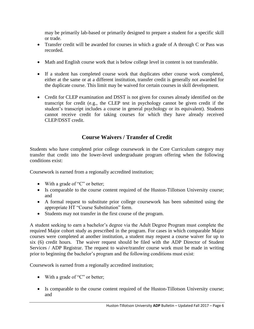may be primarily lab-based or primarily designed to prepare a student for a specific skill or trade.

- Transfer credit will be awarded for courses in which a grade of A through C or Pass was recorded.
- Math and English course work that is below college level in content is not transferable.
- If a student has completed course work that duplicates other course work completed, either at the same or at a different institution, transfer credit is generally not awarded for the duplicate course. This limit may be waived for certain courses in skill development.
- Credit for CLEP examination and DSST is not given for courses already identified on the transcript for credit (e.g., the CLEP test in psychology cannot be given credit if the student's transcript includes a course in general psychology or its equivalent). Students cannot receive credit for taking courses for which they have already received CLEP/DSST credit.

### **Course Waivers / Transfer of Credit**

Students who have completed prior college coursework in the Core Curriculum category may transfer that credit into the lower-level undergraduate program offering when the following conditions exist:

Coursework is earned from a regionally accredited institution;

- $\bullet$  With a grade of "C" or better;
- Is comparable to the course content required of the Huston-Tillotson University course; and
- A formal request to substitute prior college coursework has been submitted using the appropriate HT "Course Substitution" form.
- Students may not transfer in the first course of the program.

A student seeking to earn a bachelor's degree via the Adult Degree Program must complete the required Major cohort study as prescribed in the program. For cases in which comparable Major courses were completed at another institution, a student may request a course waiver for up to six (6) credit hours. The waiver request should be filed with the ADP Director of Student Services / ADP Registrar. The request to waive/transfer course work must be made in writing prior to beginning the bachelor's program and the following conditions must exist:

Coursework is earned from a regionally accredited institution;

- $\bullet$  With a grade of "C" or better;
- Is comparable to the course content required of the Huston-Tillotson University course; and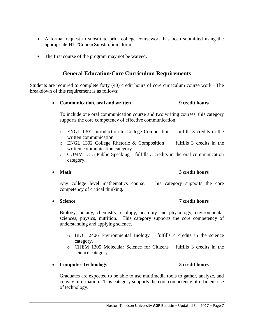- A formal request to substitute prior college coursework has been submitted using the appropriate HT "Course Substitution" form.
- The first course of the program may not be waived.

#### **General Education/Core Curriculum Requirements**

Students are required to complete forty (40) credit hours of core curriculum course work. The breakdown of this requirement is as follows:

#### **Communication, oral and written 9 credit hours**

To include one oral communication course and two writing courses, this category supports the core competency of effective communication.

- o ENGL 1301 Introduction to College Composition fulfills 3 credits in the written communication.
- o ENGL 1302 College Rhetoric & Composition fulfills 3 credits in the written communication category.
- o COMM 1315 Public Speaking fulfills 3 credits in the oral communication category.
- 

#### **Math 3 credit hours**

Any college level mathematics course. This category supports the core competency of critical thinking.

**Science 7 credit hours**

Biology, botany, chemistry, ecology, anatomy and physiology, environmental sciences, physics, nutrition. This category supports the core competency of understanding and applying science.

- o BIOL 2406 Environmental Biology fulfills 4 credits in the science category.
- o CHEM 1305 Molecular Science for Citizens fulfills 3 credits in the science category.

#### **Computer Technology 3 credit hours**

Graduates are expected to be able to use multimedia tools to gather, analyze, and convey information. This category supports the core competency of efficient use of technology.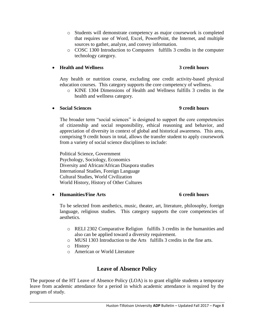- o Students will demonstrate competency as major coursework is completed that requires use of Word, Excel, PowerPoint, the Internet, and multiple sources to gather, analyze, and convey information.
- o COSC 1300 Introduction to Computers fulfills 3 credits in the computer technology category.

#### **Health and Wellness 3 credit hours**

Any health or nutrition course, excluding one credit activity-based physical education courses. This category supports the core competency of wellness.

o KINE 1304 Dimensions of Health and Wellness fulfills 3 credits in the health and wellness category.

#### **Social Sciences 9 credit hours**

The broader term "social sciences" is designed to support the core competencies of citizenship and social responsibility, ethical reasoning and behavior, and appreciation of diversity in context of global and historical awareness. This area, comprising 9 credit hours in total, allows the transfer student to apply coursework from a variety of social science disciplines to include:

Political Science, Government Psychology, Sociology, Economics Diversity and African/African Diaspora studies International Studies, Foreign Language Cultural Studies, World Civilization World History, History of Other Cultures

#### **Humanities/Fine Arts 6 credit hours**

To be selected from aesthetics, music, theater, art, literature, philosophy, foreign language, religious studies. This category supports the core competencies of aesthetics.

- o RELI 2302 Comparative Religion fulfills 3 credits in the humanities and also can be applied toward a diversity requirement.
- o MUSI 1303 Introduction to the Arts fulfills 3 credits in the fine arts.
- o History
- o American or World Literature

### **Leave of Absence Policy**

The purpose of the HT Leave of Absence Policy (LOA) is to grant eligible students a temporary leave from academic attendance for a period in which academic attendance is required by the program of study.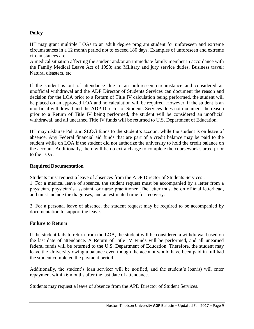#### **Policy**

HT may grant multiple LOAs to an adult degree program student for unforeseen and extreme circumstances in a 12 month period not to exceed 180 days. Examples of unforeseen and extreme circumstances are:

A medical situation affecting the student and/or an immediate family member in accordance with the Family Medical Leave Act of 1993; and Military and jury service duties, Business travel; Natural disasters, etc.

If the student is out of attendance due to an unforeseen circumstance and considered an unofficial withdrawal and the ADP Director of Students Services can document the reason and decision for the LOA prior to a Return of Title IV calculation being performed, the student will be placed on an approved LOA and no calculation will be required. However, if the student is an unofficial withdrawal and the ADP Director of Students Services does not document the reason prior to a Return of Title IV being performed, the student will be considered an unofficial withdrawal, and all unearned Title IV funds will be returned to U.S. Department of Education.

HT may disburse Pell and SEOG funds to the student's account while the student is on leave of absence. Any Federal financial aid funds that are part of a credit balance may be paid to the student while on LOA if the student did not authorize the university to hold the credit balance on the account. Additionally, there will be no extra charge to complete the coursework started prior to the LOA.

#### **Required Documentation**

Students must request a leave of absences from the ADP Director of Students Services . 1. For a medical leave of absence, the student request must be accompanied by a letter from a physician, physician's assistant, or nurse practitioner. The letter must be on official letterhead, and must include the diagnoses, and an estimated time for recovery.

2. For a personal leave of absence, the student request may be required to be accompanied by documentation to support the leave.

#### **Failure to Return**

If the student fails to return from the LOA, the student will be considered a withdrawal based on the last date of attendance. A Return of Title IV Funds will be performed, and all unearned federal funds will be returned to the U.S. Department of Education. Therefore, the student may leave the University owing a balance even though the account would have been paid in full had the student completed the payment period.

Additionally, the student's loan servicer will be notified, and the student's loan(s) will enter repayment within 6 months after the last date of attendance.

Students may request a leave of absence from the APD Director of Student Services.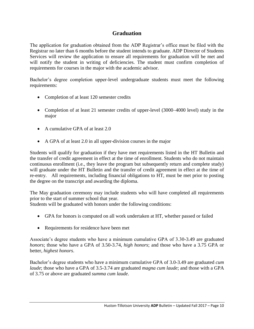#### **Graduation**

The application for graduation obtained from the ADP Registrar's office must be filed with the Registrar no later than 6 months before the student intends to graduate. ADP Director of Students Services will review the application to ensure all requirements for graduation will be met and will notify the student in writing of deficiencies. The student must confirm completion of requirements for courses in the major with the academic advisor.

Bachelor's degree completion upper-level undergraduate students must meet the following requirements:

- Completion of at least 120 semester credits
- Completion of at least 21 semester credits of upper-level (3000–4000 level) study in the major
- A cumulative GPA of at least 2.0
- A GPA of at least 2.0 in all upper-division courses in the major

Students will qualify for graduation if they have met requirements listed in the HT Bulletin and the transfer of credit agreement in effect at the time of enrollment. Students who do not maintain continuous enrollment (i.e., they leave the program but subsequently return and complete study) will graduate under the HT Bulletin and the transfer of credit agreement in effect at the time of re-entry. All requirements, including financial obligations to HT, must be met prior to posting the degree on the transcript and awarding the diploma.

The May graduation ceremony may include students who will have completed all requirements prior to the start of summer school that year.

Students will be graduated with honors under the following conditions:

- GPA for honors is computed on all work undertaken at HT, whether passed or failed
- Requirements for residence have been met

Associate's degree students who have a minimum cumulative GPA of 3.30-3.49 are graduated *honors*; those who have a GPA of 3.50-3.74, *high honors*; and those who have a 3.75 GPA or better, *highest honors*.

Bachelor's degree students who have a minimum cumulative GPA of 3.0-3.49 are graduated *cum laude*; those who have a GPA of 3.5-3.74 are graduated *magna cum laude*; and those with a GPA of 3.75 or above are graduated *summa cum laude*.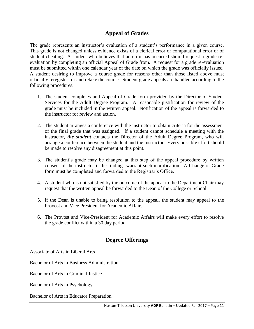#### **Appeal of Grades**

The grade represents an instructor's evaluation of a student's performance in a given course. This grade is not changed unless evidence exists of a clerical error or computational error or of student cheating. A student who believes that an error has occurred should request a grade reevaluation by completing an official Appeal of Grade from. A request for a grade re-evaluation must be submitted within one calendar year of the date on which the grade was officially issued. A student desiring to improve a course grade for reasons other than those listed above must officially reregister for and retake the course. Student grade appeals are handled according to the following procedures:

- 1. The student completes and Appeal of Grade form provided by the Director of Student Services for the Adult Degree Program. A reasonable justification for review of the grade must be included in the written appeal. Notification of the appeal is forwarded to the instructor for review and action.
- 2. The student arranges a conference with the instructor to obtain criteria for the assessment of the final grade that was assigned. If a student cannot schedule a meeting with the instructor, *the student* contacts the Director of the Adult Degree Program, who will arrange a conference between the student and the instructor. Every possible effort should be made to resolve any disagreement at this point.
- 3. The student's grade may be changed at this step of the appeal procedure by written consent of the instructor if the findings warrant such modification. A Change of Grade form must be completed and forwarded to the Registrar's Office.
- 4. A student who is not satisfied by the outcome of the appeal to the Department Chair may request that the written appeal be forwarded to the Dean of the College or School.
- 5. If the Dean is unable to bring resolution to the appeal, the student may appeal to the Provost and Vice President for Academic Affairs.
- 6. The Provost and Vice-President for Academic Affairs will make every effort to resolve the grade conflict within a 30 day period.

#### **Degree Offerings**

Associate of Arts in Liberal Arts

Bachelor of Arts in Business Administration

Bachelor of Arts in Criminal Justice

Bachelor of Arts in Psychology

Bachelor of Arts in Educator Preparation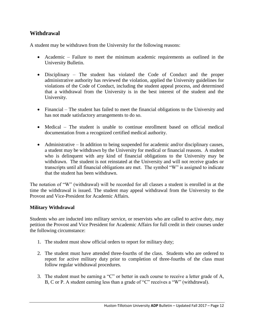#### **Withdrawal**

A student may be withdrawn from the University for the following reasons:

- Academic Failure to meet the minimum academic requirements as outlined in the University Bulletin.
- Disciplinary The student has violated the Code of Conduct and the proper administrative authority has reviewed the violation, applied the University guidelines for violations of the Code of Conduct, including the student appeal process, and determined that a withdrawal from the University is in the best interest of the student and the University.
- Financial The student has failed to meet the financial obligations to the University and has not made satisfactory arrangements to do so.
- Medical The student is unable to continue enrollment based on official medical documentation from a recognized certified medical authority.
- Administrative In addition to being suspended for academic and/or disciplinary causes, a student may be withdrawn by the University for medical or financial reasons. A student who is delinquent with any kind of financial obligations to the University may be withdrawn. The student is not reinstated at the University and will not receive grades or transcripts until all financial obligations are met. The symbol "W" is assigned to indicate that the student has been withdrawn.

The notation of "W" (withdrawal) will be recorded for all classes a student is enrolled in at the time the withdrawal is issued. The student may appeal withdrawal from the University to the Provost and Vice-President for Academic Affairs.

#### **Military Withdrawal**

Students who are inducted into military service, or reservists who are called to active duty, may petition the Provost and Vice President for Academic Affairs for full credit in their courses under the following circumstance:

- 1. The student must show official orders to report for military duty;
- 2. The student must have attended three-fourths of the class. Students who are ordered to report for active military duty prior to completion of three-fourths of the class must follow regular withdrawal procedures.
- 3. The student must be earning a "C" or better in each course to receive a letter grade of A, B, C or P. A student earning less than a grade of "C" receives a "W" (withdrawal).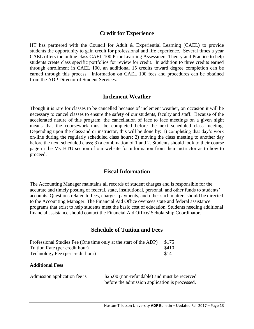#### **Credit for Experience**

HT has partnered with the Council for Adult & Experiential Learning (CAEL) to provide students the opportunity to gain credit for professional and life experience. Several times a year CAEL offers the online class CAEL 100 Prior Learning Assessment Theory and Practice to help students create class specific portfolios for review for credit. In addition to three credits earned through enrollment in CAEL 100, an additional 15 credits toward degree completion can be earned through this process. Information on CAEL 100 fees and procedures can be obtained from the ADP Director of Student Services.

#### **Inclement Weather**

Though it is rare for classes to be cancelled because of inclement weather, on occasion it will be necessary to cancel classes to ensure the safety of our students, faculty and staff. Because of the accelerated nature of this program, the cancellation of face to face meetings on a given night means that the coursework must be completed before the next scheduled class meeting. Depending upon the class/and or instructor, this will be done by: 1) completing that day's work on-line during the regularly scheduled class hours; 2) moving the class meeting to another day before the next scheduled class; 3) a combination of 1 and 2. Students should look to their course page in the My HTU section of our website for information from their instructor as to how to proceed.

#### **Fiscal Information**

The Accounting Manager maintains all records of student charges and is responsible for the accurate and timely posting of federal, state, institutional, personal, and other funds to students' accounts. Questions related to fees, charges, payments, and other such matters should be directed to the Accounting Manager. The Financial Aid Office oversees state and federal assistance programs that exist to help students meet the basic cost of education. Students needing additional financial assistance should contact the Financial Aid Office/ Scholarship Coordinator.

#### **Schedule of Tuition and Fees**

| Professional Studies Fee (One time only at the start of the ADP) | \$175 |
|------------------------------------------------------------------|-------|
| Tuition Rate (per credit hour)                                   | \$410 |
| Technology Fee (per credit hour)                                 | \$14  |

#### **Additional Fees**

| Admission application fee is | \$25.00 (non-refundable) and must be received  |
|------------------------------|------------------------------------------------|
|                              | before the admission application is processed. |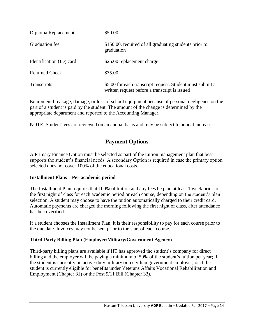| Diploma Replacement      | \$50.00                                                                                                    |
|--------------------------|------------------------------------------------------------------------------------------------------------|
| Graduation fee           | \$150.00, required of all graduating students prior to<br>graduation                                       |
| Identification (ID) card | \$25.00 replacement charge                                                                                 |
| <b>Returned Check</b>    | \$35.00                                                                                                    |
| <b>Transcripts</b>       | \$5.00 for each transcript request. Student must submit a<br>written request before a transcript is issued |

Equipment breakage, damage, or loss of school equipment because of personal negligence on the part of a student is paid by the student. The amount of the change is determined by the appropriate department and reported to the Accounting Manager.

NOTE: Student fees are reviewed on an annual basis and may be subject to annual increases.

### **Payment Options**

A Primary Finance Option must be selected as part of the tuition management plan that best supports the student's financial needs. A secondary Option is required in case the primary option selected does not cover 100% of the educational costs.

#### **Installment Plans – Per academic period**

The Installment Plan requires that 100% of tuition and any fees be paid at least 1 week prior to the first night of class for each academic period or each course, depending on the student's plan selection. A student may choose to have the tuition automatically charged to their credit card. Automatic payments are charged the morning following the first night of class, after attendance has been verified.

If a student chooses the Installment Plan, it is their responsibility to pay for each course prior to the due date. Invoices may not be sent prior to the start of each course.

#### **Third-Party Billing Plan (Employer/Military/Government Agency)**

Third-party billing plans are available if HT has approved the student's company for direct billing and the employer will be paying a minimum of 50% of the student's tuition per year; if the student is currently on active-duty military or a civilian government employer; or if the student is currently eligible for benefits under Veterans Affairs Vocational Rehabilitation and Employment (Chapter 31) or the Post 9/11 Bill (Chapter 33).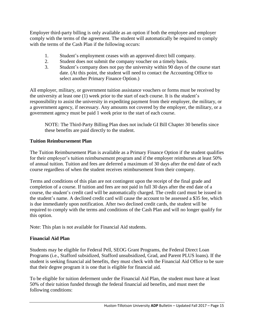Employer third-party billing is only available as an option if both the employee and employer comply with the terms of the agreement. The student will automatically be required to comply with the terms of the Cash Plan if the following occurs:

- 1. Student's employment ceases with an approved direct bill company.
- 2. Student does not submit the company voucher on a timely basis.
- 3. Student's company does not pay the university within 90 days of the course start date. (At this point, the student will need to contact the Accounting Office to select another Primary Finance Option.)

All employer, military, or government tuition assistance vouchers or forms must be received by the university at least one (1) week prior to the start of each course. It is the student's responsibility to assist the university in expediting payment from their employer, the military, or a government agency, if necessary. Any amounts not covered by the employer, the military, or a government agency must be paid 1 week prior to the start of each course.

NOTE: The Third-Party Billing Plan does not include GI Bill Chapter 30 benefits since these benefits are paid directly to the student.

#### **Tuition Reimbursement Plan**

The Tuition Reimbursement Plan is available as a Primary Finance Option if the student qualifies for their employer's tuition reimbursement program and if the employer reimburses at least 50% of annual tuition. Tuition and fees are deferred a maximum of 30 days after the end date of each course regardless of when the student receives reimbursement from their company.

Terms and conditions of this plan are not contingent upon the receipt of the final grade and completion of a course. If tuition and fees are not paid in full 30 days after the end date of a course, the student's credit card will be automatically charged. The credit card must be issued in the student's name. A declined credit card will cause the account to be assessed a \$35 fee, which is due immediately upon notification. After two declined credit cards, the student will be required to comply with the terms and conditions of the Cash Plan and will no longer qualify for this option.

Note: This plan is not available for Financial Aid students.

#### **Financial Aid Plan**

Students may be eligible for Federal Pell, SEOG Grant Programs, the Federal Direct Loan Programs (i.e., Stafford subsidized, Stafford unsubsidized, Grad, and Parent PLUS loans). If the student is seeking financial aid benefits, they must check with the Financial Aid Office to be sure that their degree program it is one that is eligible for financial aid.

To be eligible for tuition deferment under the Financial Aid Plan, the student must have at least 50% of their tuition funded through the federal financial aid benefits, and must meet the following conditions: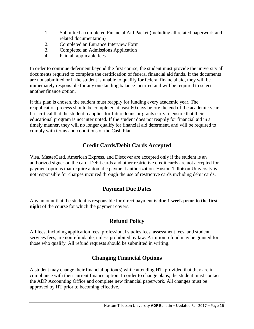- 1. Submitted a completed Financial Aid Packet (including all related paperwork and related documentation)
- 2. Completed an Entrance Interview Form
- 3. Completed an Admissions Application
- 4. Paid all applicable fees

In order to continue deferment beyond the first course, the student must provide the university all documents required to complete the certification of federal financial aid funds. If the documents are not submitted or if the student is unable to qualify for federal financial aid, they will be immediately responsible for any outstanding balance incurred and will be required to select another finance option.

If this plan is chosen, the student must reapply for funding every academic year. The reapplication process should be completed at least 60 days before the end of the academic year. It is critical that the student reapplies for future loans or grants early to ensure that their educational program is not interrupted. If the student does not reapply for financial aid in a timely manner, they will no longer qualify for financial aid deferment, and will be required to comply with terms and conditions of the Cash Plan.

### **Credit Cards/Debit Cards Accepted**

Visa, MasterCard, American Express, and Discover are accepted only if the student is an authorized signer on the card. Debit cards and other restrictive credit cards are not accepted for payment options that require automatic payment authorization. Huston-Tillotson University is not responsible for charges incurred through the use of restrictive cards including debit cards.

#### **Payment Due Dates**

Any amount that the student is responsible for direct payment is **due 1 week prior to the first night** of the course for which the payment covers.

### **Refund Policy**

All fees, including application fees, professional studies fees, assessment fees, and student services fees, are nonrefundable, unless prohibited by law. A tuition refund may be granted for those who qualify. All refund requests should be submitted in writing.

### **Changing Financial Options**

A student may change their financial option(s) while attending HT, provided that they are in compliance with their current finance option. In order to change plans, the student must contact the ADP Accounting Office and complete new financial paperwork. All changes must be approved by HT prior to becoming effective.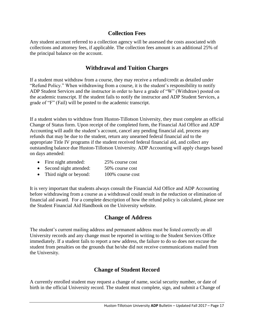#### **Collection Fees**

Any student account referred to a collection agency will be assessed the costs associated with collections and attorney fees, if applicable. The collection fees amount is an additional 25% of the principal balance on the account.

#### **Withdrawal and Tuition Charges**

If a student must withdraw from a course, they may receive a refund/credit as detailed under "Refund Policy." When withdrawing from a course, it is the student's responsibility to notify ADP Student Services and the instructor in order to have a grade of "W" (Withdraw) posted on the academic transcript. If the student fails to notify the instructor and ADP Student Services, a grade of "F" (Fail) will be posted to the academic transcript.

If a student wishes to withdraw from Huston-Tillotson University, they must complete an official Change of Status form. Upon receipt of the completed form, the Financial Aid Office and ADP Accounting will audit the student's account, cancel any pending financial aid, process any refunds that may be due to the student, return any unearned federal financial aid to the appropriate Title IV programs if the student received federal financial aid, and collect any outstanding balance due Huston-Tillotson University. ADP Accounting will apply charges based on days attended:

- First night attended: 25% course cost
- Second night attended: 50% course cost
- Third night or beyond: 100% course cost

It is very important that students always consult the Financial Aid Office and ADP Accounting before withdrawing from a course as a withdrawal could result in the reduction or elimination of financial aid award. For a complete description of how the refund policy is calculated, please see the Student Financial Aid Handbook on the University website.

#### **Change of Address**

The student's current mailing address and permanent address must be listed correctly on all University records and any change must be reported in writing to the Student Services Office immediately. If a student fails to report a new address, the failure to do so does not excuse the student from penalties on the grounds that he/she did not receive communications mailed from the University.

#### **Change of Student Record**

A currently enrolled student may request a change of name, social security number, or date of birth in the official University record. The student must complete, sign, and submit a Change of